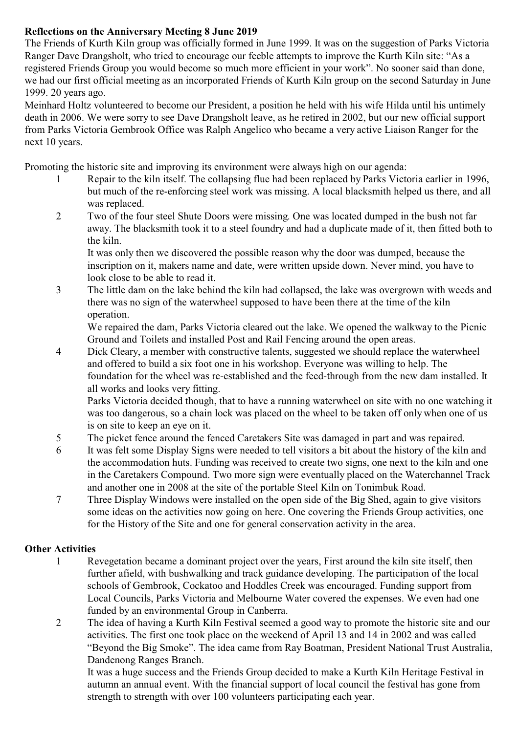## **Reflections on the Anniversary Meeting 8 June 2019**

The Friends of Kurth Kiln group was officially formed in June 1999. It was on the suggestion of Parks Victoria Ranger Dave Drangsholt, who tried to encourage our feeble attempts to improve the Kurth Kiln site: "As a registered Friends Group you would become so much more efficient in your work". No sooner said than done, we had our first official meeting as an incorporated Friends of Kurth Kiln group on the second Saturday in June 1999. 20 years ago.

Meinhard Holtz volunteered to become our President, a position he held with his wife Hilda until his untimely death in 2006. We were sorry to see Dave Drangsholt leave, as he retired in 2002, but our new official support from Parks Victoria Gembrook Office was Ralph Angelico who became a very active Liaison Ranger for the next 10 years.

Promoting the historic site and improving its environment were always high on our agenda:

- 1 Repair to the kiln itself. The collapsing flue had been replaced by Parks Victoria earlier in 1996, but much of the re-enforcing steel work was missing. A local blacksmith helped us there, and all was replaced.
- 2 Two of the four steel Shute Doors were missing. One was located dumped in the bush not far away. The blacksmith took it to a steel foundry and had a duplicate made of it, then fitted both to the kiln.

It was only then we discovered the possible reason why the door was dumped, because the inscription on it, makers name and date, were written upside down. Never mind, you have to look close to be able to read it.

3 The little dam on the lake behind the kiln had collapsed, the lake was overgrown with weeds and there was no sign of the waterwheel supposed to have been there at the time of the kiln operation.

We repaired the dam, Parks Victoria cleared out the lake. We opened the walkway to the Picnic Ground and Toilets and installed Post and Rail Fencing around the open areas.

4 Dick Cleary, a member with constructive talents, suggested we should replace the waterwheel and offered to build a six foot one in his workshop. Everyone was willing to help. The foundation for the wheel was re-established and the feed-through from the new dam installed. It all works and looks very fitting.

Parks Victoria decided though, that to have a running waterwheel on site with no one watching it was too dangerous, so a chain lock was placed on the wheel to be taken off only when one of us is on site to keep an eye on it.

- 5 The picket fence around the fenced Caretakers Site was damaged in part and was repaired.
- 6 It was felt some Display Signs were needed to tell visitors a bit about the history of the kiln and the accommodation huts. Funding was received to create two signs, one next to the kiln and one in the Caretakers Compound. Two more sign were eventually placed on the Waterchannel Track and another one in 2008 at the site of the portable Steel Kiln on Tonimbuk Road.
- 7 Three Display Windows were installed on the open side of the Big Shed, again to give visitors some ideas on the activities now going on here. One covering the Friends Group activities, one for the History of the Site and one for general conservation activity in the area.

## **Other Activities**

- 1 Revegetation became a dominant project over the years, First around the kiln site itself, then further afield, with bushwalking and track guidance developing. The participation of the local schools of Gembrook, Cockatoo and Hoddles Creek was encouraged. Funding support from Local Councils, Parks Victoria and Melbourne Water covered the expenses. We even had one funded by an environmental Group in Canberra.
- 2 The idea of having a Kurth Kiln Festival seemed a good way to promote the historic site and our activities. The first one took place on the weekend of April 13 and 14 in 2002 and was called "Beyond the Big Smoke". The idea came from Ray Boatman, President National Trust Australia, Dandenong Ranges Branch.

It was a huge success and the Friends Group decided to make a Kurth Kiln Heritage Festival in autumn an annual event. With the financial support of local council the festival has gone from strength to strength with over 100 volunteers participating each year.